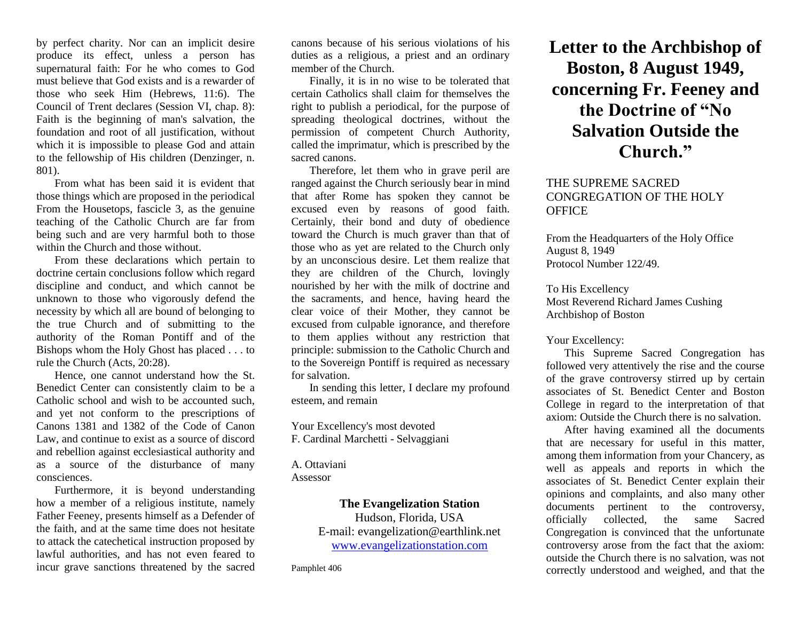by perfect charity. Nor can an implicit desire produce its effect, unless a person has supernatural faith: For he who comes to God must believe that God exists and is a rewarder of those who seek Him (Hebrews, 11:6). The Council of Trent declares (Session VI, chap. 8): Faith is the beginning of man's salvation, the foundation and root of all justification, without which it is impossible to please God and attain to the fellowship of His children (Denzinger, n. 801).

From what has been said it is evident that those things which are proposed in the periodical From the Housetops, fascicle 3, as the genuine teaching of the Catholic Church are far from being such and are very harmful both to those within the Church and those without.

From these declarations which pertain to doctrine certain conclusions follow which regard discipline and conduct, and which cannot be unknown to those who vigorously defend the necessity by which all are bound of belonging to the true Church and of submitting to the authority of the Roman Pontiff and of the Bishops whom the Holy Ghost has placed . . . to rule the Church (Acts, 20:28).

Hence, one cannot understand how the St. Benedict Center can consistently claim to be a Catholic school and wish to be accounted such, and yet not conform to the prescriptions of Canons 1381 and 1382 of the Code of Canon Law, and continue to exist as a source of discord and rebellion against ecclesiastical authority and as a source of the disturbance of many consciences.

Furthermore, it is beyond understanding how a member of a religious institute, namely Father Feeney, presents himself as a Defender of the faith, and at the same time does not hesitate to attack the catechetical instruction proposed by lawful authorities, and has not even feared to incur grave sanctions threatened by the sacred

canons because of his serious violations of his duties as a religious, a priest and an ordinary member of the Church.

Finally, it is in no wise to be tolerated that certain Catholics shall claim for themselves the right to publish a periodical, for the purpose of spreading theological doctrines, without the permission of competent Church Authority, called the imprimatur, which is prescribed by the sacred canons.

Therefore, let them who in grave peril are ranged against the Church seriously bear in mind that after Rome has spoken they cannot be excused even by reasons of good faith. Certainly, their bond and duty of obedience toward the Church is much graver than that of those who as yet are related to the Church only by an unconscious desire. Let them realize that they are children of the Church, lovingly nourished by her with the milk of doctrine and the sacraments, and hence, having heard the clear voice of their Mother, they cannot be excused from culpable ignorance, and therefore to them applies without any restriction that principle: submission to the Catholic Church and to the Sovereign Pontiff is required as necessary for salvation.

In sending this letter, I declare my profound esteem, and remain

Your Excellency's most devoted F. Cardinal Marchetti - Selvaggiani

A. Ottaviani Assessor

**The Evangelization Station** 

Hudson, Florida, USA E-mail: evangelization@earthlink.net [www.evangelizationstation.com](http://www.pjpiisoe.org/)

Pamphlet 406

## **Letter to the Archbishop of Boston, 8 August 1949, concerning Fr. Feeney and the Doctrine of "No Salvation Outside the Church."**

## THE SUPREME SACRED CONGREGATION OF THE HOLY **OFFICE**

From the Headquarters of the Holy Office August 8, 1949 Protocol Number 122/49.

To His Excellency Most Reverend Richard James Cushing Archbishop of Boston

Your Excellency:

This Supreme Sacred Congregation has followed very attentively the rise and the course of the grave controversy stirred up by certain associates of St. Benedict Center and Boston College in regard to the interpretation of that axiom: Outside the Church there is no salvation.

After having examined all the documents that are necessary for useful in this matter, among them information from your Chancery, as well as appeals and reports in which the associates of St. Benedict Center explain their opinions and complaints, and also many other documents pertinent to the controversy, officially collected, the same Sacred Congregation is convinced that the unfortunate controversy arose from the fact that the axiom: outside the Church there is no salvation, was not correctly understood and weighed, and that the